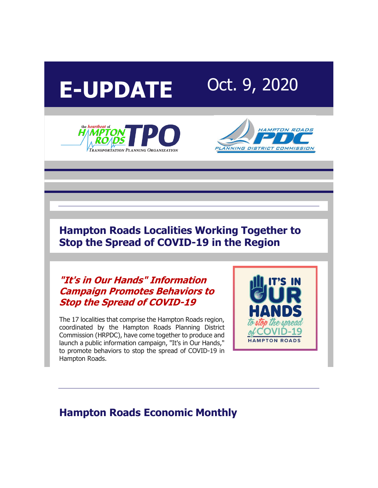# **E-UPDATE** Oct. 9, 2020





## **Hampton Roads Localities Working Together to Stop the Spread of COVID-19 in the Region**

#### **["It's in Our Hands" Information](http://r20.rs6.net/tn.jsp?f=001Jg_N8iagzCj6BAuSJxVdS2dyFyCvSX8bKwEwWQvccOdrrpXdxgcosPBAvL7SwasqtZkGsNZjgf0YzKPghlOsG1bINQeiXfS_ja22Rhd_0QKJRt7y8vCYa2AnwlvDf_20aRksYXG-DtWUiQ0Q3rk-xKTeeqrslhRchJ3DbcuF9v3IRnT9mh8c1nvnhxJ0YNC3DtunBG8lRkmZbC2G4c39Uz_1soE5pn4RKdTFLtkkBkY3S4iQg8NdHqdvXnzoaLz0vHq05aRraEsnj8IH1VJxIn4-GcDjref1O14OYtSNkBRjNgyAm7nHrxafoAfvqsUMIIlQ2arhQJxU-J9lJxS_pXei6WXP3_RuLkNRJ-aTjjrFv7Ih32LQ3ea-Ni73gvjnqZ04xaOcFvz84zLYpzviZQ==&c=Vn2lP9K2aQyRoSZ0kAF689kgSkI5sRHWFZFrA4THdbKD9CLGuRz9ag==&ch=KepTBlA1NcHoYHSBrc6lw1jQ7-_LLgyfH0epCluYRUBEJmnOyPwxiw==)  [Campaign Promotes Behaviors to](http://r20.rs6.net/tn.jsp?f=001Jg_N8iagzCj6BAuSJxVdS2dyFyCvSX8bKwEwWQvccOdrrpXdxgcosPBAvL7SwasqtZkGsNZjgf0YzKPghlOsG1bINQeiXfS_ja22Rhd_0QKJRt7y8vCYa2AnwlvDf_20aRksYXG-DtWUiQ0Q3rk-xKTeeqrslhRchJ3DbcuF9v3IRnT9mh8c1nvnhxJ0YNC3DtunBG8lRkmZbC2G4c39Uz_1soE5pn4RKdTFLtkkBkY3S4iQg8NdHqdvXnzoaLz0vHq05aRraEsnj8IH1VJxIn4-GcDjref1O14OYtSNkBRjNgyAm7nHrxafoAfvqsUMIIlQ2arhQJxU-J9lJxS_pXei6WXP3_RuLkNRJ-aTjjrFv7Ih32LQ3ea-Ni73gvjnqZ04xaOcFvz84zLYpzviZQ==&c=Vn2lP9K2aQyRoSZ0kAF689kgSkI5sRHWFZFrA4THdbKD9CLGuRz9ag==&ch=KepTBlA1NcHoYHSBrc6lw1jQ7-_LLgyfH0epCluYRUBEJmnOyPwxiw==)  [Stop the Spread of COVID-19](http://r20.rs6.net/tn.jsp?f=001Jg_N8iagzCj6BAuSJxVdS2dyFyCvSX8bKwEwWQvccOdrrpXdxgcosPBAvL7SwasqtZkGsNZjgf0YzKPghlOsG1bINQeiXfS_ja22Rhd_0QKJRt7y8vCYa2AnwlvDf_20aRksYXG-DtWUiQ0Q3rk-xKTeeqrslhRchJ3DbcuF9v3IRnT9mh8c1nvnhxJ0YNC3DtunBG8lRkmZbC2G4c39Uz_1soE5pn4RKdTFLtkkBkY3S4iQg8NdHqdvXnzoaLz0vHq05aRraEsnj8IH1VJxIn4-GcDjref1O14OYtSNkBRjNgyAm7nHrxafoAfvqsUMIIlQ2arhQJxU-J9lJxS_pXei6WXP3_RuLkNRJ-aTjjrFv7Ih32LQ3ea-Ni73gvjnqZ04xaOcFvz84zLYpzviZQ==&c=Vn2lP9K2aQyRoSZ0kAF689kgSkI5sRHWFZFrA4THdbKD9CLGuRz9ag==&ch=KepTBlA1NcHoYHSBrc6lw1jQ7-_LLgyfH0epCluYRUBEJmnOyPwxiw==)**

The 17 localities that comprise the Hampton Roads region, coordinated by the Hampton Roads Planning District Commission (HRPDC), have come together to produce and launch a public information campaign, "It's in Our Hands," to promote behaviors to stop the spread of COVID-19 in Hampton Roads.



## **Hampton Roads Economic Monthly**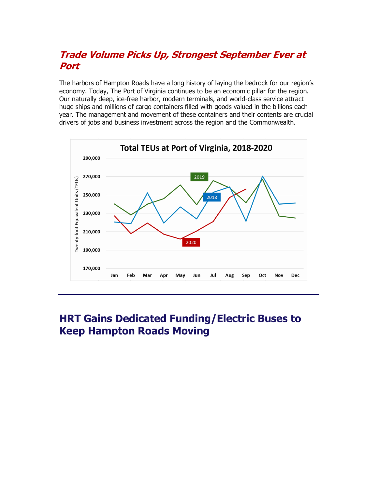### **[Trade Volume Picks Up, Strongest September Ever at](http://r20.rs6.net/tn.jsp?f=001Jg_N8iagzCj6BAuSJxVdS2dyFyCvSX8bKwEwWQvccOdrrpXdxgcosPBAvL7SwasqEmY172IzCzJ1BAMT4Jrc62NJHsYGnJeFw7h1YfN9KuA5DsFTHqAeZwoqW4ix4QTah-BuoCjKf7YOZT7qc6FYYJF9gn0yc-EjM8fkVWKPqIuoEXy-sT6gucC6JefIREHEnlXAxpGvNO7DfkO4DYqlL_sfddDqIjwC&c=Vn2lP9K2aQyRoSZ0kAF689kgSkI5sRHWFZFrA4THdbKD9CLGuRz9ag==&ch=KepTBlA1NcHoYHSBrc6lw1jQ7-_LLgyfH0epCluYRUBEJmnOyPwxiw==)  [Port](http://r20.rs6.net/tn.jsp?f=001Jg_N8iagzCj6BAuSJxVdS2dyFyCvSX8bKwEwWQvccOdrrpXdxgcosPBAvL7SwasqEmY172IzCzJ1BAMT4Jrc62NJHsYGnJeFw7h1YfN9KuA5DsFTHqAeZwoqW4ix4QTah-BuoCjKf7YOZT7qc6FYYJF9gn0yc-EjM8fkVWKPqIuoEXy-sT6gucC6JefIREHEnlXAxpGvNO7DfkO4DYqlL_sfddDqIjwC&c=Vn2lP9K2aQyRoSZ0kAF689kgSkI5sRHWFZFrA4THdbKD9CLGuRz9ag==&ch=KepTBlA1NcHoYHSBrc6lw1jQ7-_LLgyfH0epCluYRUBEJmnOyPwxiw==)**

The harbors of Hampton Roads have a long history of laying the bedrock for our region's economy. Today, The Port of Virginia continues to be an economic pillar for the region. Our naturally deep, ice-free harbor, modern terminals, and world-class service attract huge ships and millions of cargo containers filled with goods valued in the billions each year. The management and movement of these containers and their contents are crucial drivers of jobs and business investment across the region and the Commonwealth.



## **HRT Gains Dedicated Funding/Electric Buses to Keep Hampton Roads Moving**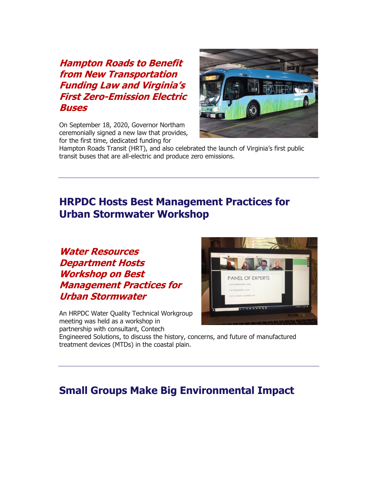#### **[Hampton Roads to Benefit](http://r20.rs6.net/tn.jsp?f=001Jg_N8iagzCj6BAuSJxVdS2dyFyCvSX8bKwEwWQvccOdrrpXdxgcosPBAvL7SwasqVGnBV8QgVHKZvv9WY_QhY6dSWGyJ6mMdHJygtAglgLwDRWx5bR2Y-dW3KsxrtDPhuOpyih38NiO3rXEfFujKU8PftzPtZjj_xbdGVhBCV7oWlqeTCLbAN9QWuQT-NHxGj8qLmHfKzpC1XGapAEjhQmPmwuxat_YlBRmt0plWxns4Mlusmz4Rv6SoiqN4-Ddj3tmLEBw68NuU5TPlFRl9sNfBvj9w-TQNabAs4EkGJRQZOssSYiv-Lq9Wl1_UmgkULauDfHxC1L10mWk0ro7fl0TZppH0VMHh5Fn6_n6tcDo=&c=Vn2lP9K2aQyRoSZ0kAF689kgSkI5sRHWFZFrA4THdbKD9CLGuRz9ag==&ch=KepTBlA1NcHoYHSBrc6lw1jQ7-_LLgyfH0epCluYRUBEJmnOyPwxiw==)  [from New Transportation](http://r20.rs6.net/tn.jsp?f=001Jg_N8iagzCj6BAuSJxVdS2dyFyCvSX8bKwEwWQvccOdrrpXdxgcosPBAvL7SwasqVGnBV8QgVHKZvv9WY_QhY6dSWGyJ6mMdHJygtAglgLwDRWx5bR2Y-dW3KsxrtDPhuOpyih38NiO3rXEfFujKU8PftzPtZjj_xbdGVhBCV7oWlqeTCLbAN9QWuQT-NHxGj8qLmHfKzpC1XGapAEjhQmPmwuxat_YlBRmt0plWxns4Mlusmz4Rv6SoiqN4-Ddj3tmLEBw68NuU5TPlFRl9sNfBvj9w-TQNabAs4EkGJRQZOssSYiv-Lq9Wl1_UmgkULauDfHxC1L10mWk0ro7fl0TZppH0VMHh5Fn6_n6tcDo=&c=Vn2lP9K2aQyRoSZ0kAF689kgSkI5sRHWFZFrA4THdbKD9CLGuRz9ag==&ch=KepTBlA1NcHoYHSBrc6lw1jQ7-_LLgyfH0epCluYRUBEJmnOyPwxiw==)  [Funding Law and Virginia's](http://r20.rs6.net/tn.jsp?f=001Jg_N8iagzCj6BAuSJxVdS2dyFyCvSX8bKwEwWQvccOdrrpXdxgcosPBAvL7SwasqVGnBV8QgVHKZvv9WY_QhY6dSWGyJ6mMdHJygtAglgLwDRWx5bR2Y-dW3KsxrtDPhuOpyih38NiO3rXEfFujKU8PftzPtZjj_xbdGVhBCV7oWlqeTCLbAN9QWuQT-NHxGj8qLmHfKzpC1XGapAEjhQmPmwuxat_YlBRmt0plWxns4Mlusmz4Rv6SoiqN4-Ddj3tmLEBw68NuU5TPlFRl9sNfBvj9w-TQNabAs4EkGJRQZOssSYiv-Lq9Wl1_UmgkULauDfHxC1L10mWk0ro7fl0TZppH0VMHh5Fn6_n6tcDo=&c=Vn2lP9K2aQyRoSZ0kAF689kgSkI5sRHWFZFrA4THdbKD9CLGuRz9ag==&ch=KepTBlA1NcHoYHSBrc6lw1jQ7-_LLgyfH0epCluYRUBEJmnOyPwxiw==)  [First Zero-Emission Electric](http://r20.rs6.net/tn.jsp?f=001Jg_N8iagzCj6BAuSJxVdS2dyFyCvSX8bKwEwWQvccOdrrpXdxgcosPBAvL7SwasqVGnBV8QgVHKZvv9WY_QhY6dSWGyJ6mMdHJygtAglgLwDRWx5bR2Y-dW3KsxrtDPhuOpyih38NiO3rXEfFujKU8PftzPtZjj_xbdGVhBCV7oWlqeTCLbAN9QWuQT-NHxGj8qLmHfKzpC1XGapAEjhQmPmwuxat_YlBRmt0plWxns4Mlusmz4Rv6SoiqN4-Ddj3tmLEBw68NuU5TPlFRl9sNfBvj9w-TQNabAs4EkGJRQZOssSYiv-Lq9Wl1_UmgkULauDfHxC1L10mWk0ro7fl0TZppH0VMHh5Fn6_n6tcDo=&c=Vn2lP9K2aQyRoSZ0kAF689kgSkI5sRHWFZFrA4THdbKD9CLGuRz9ag==&ch=KepTBlA1NcHoYHSBrc6lw1jQ7-_LLgyfH0epCluYRUBEJmnOyPwxiw==)  [Buses](http://r20.rs6.net/tn.jsp?f=001Jg_N8iagzCj6BAuSJxVdS2dyFyCvSX8bKwEwWQvccOdrrpXdxgcosPBAvL7SwasqVGnBV8QgVHKZvv9WY_QhY6dSWGyJ6mMdHJygtAglgLwDRWx5bR2Y-dW3KsxrtDPhuOpyih38NiO3rXEfFujKU8PftzPtZjj_xbdGVhBCV7oWlqeTCLbAN9QWuQT-NHxGj8qLmHfKzpC1XGapAEjhQmPmwuxat_YlBRmt0plWxns4Mlusmz4Rv6SoiqN4-Ddj3tmLEBw68NuU5TPlFRl9sNfBvj9w-TQNabAs4EkGJRQZOssSYiv-Lq9Wl1_UmgkULauDfHxC1L10mWk0ro7fl0TZppH0VMHh5Fn6_n6tcDo=&c=Vn2lP9K2aQyRoSZ0kAF689kgSkI5sRHWFZFrA4THdbKD9CLGuRz9ag==&ch=KepTBlA1NcHoYHSBrc6lw1jQ7-_LLgyfH0epCluYRUBEJmnOyPwxiw==)**

On September 18, 2020, Governor Northam ceremonially signed a new law that provides, for the first time, dedicated funding for



Hampton Roads Transit (HRT), and also celebrated the launch of Virginia's first public transit buses that are all-electric and produce zero emissions.

## **HRPDC Hosts Best Management Practices for Urban Stormwater Workshop**

**[Water Resources](http://r20.rs6.net/tn.jsp?f=001Jg_N8iagzCj6BAuSJxVdS2dyFyCvSX8bKwEwWQvccOdrrpXdxgcosPBAvL7SwasqWztfbmPO_CSIxs-pq2pzaRCbIoJaDhgM9MowhA2vKvHWVs_VNIatXUXHQZcQWZ9tz6SC2_IuUagqjoXGwOYIeHsGGpk6EZPlVER8EiHCWnwuq7ak4377RNybU1mMXWFKIb2NACwypgvh0dnz3fcDP-mGU_TEuom34TppYhB2jEDRNFvfPaGc3dVbabykJgjg9YWvCbnf6BdsVq3r6cEV1klJC5scxzqLeHkyUkDzBGdTRPXXNyWqPIQzqShaQtFr&c=Vn2lP9K2aQyRoSZ0kAF689kgSkI5sRHWFZFrA4THdbKD9CLGuRz9ag==&ch=KepTBlA1NcHoYHSBrc6lw1jQ7-_LLgyfH0epCluYRUBEJmnOyPwxiw==)  [Department Hosts](http://r20.rs6.net/tn.jsp?f=001Jg_N8iagzCj6BAuSJxVdS2dyFyCvSX8bKwEwWQvccOdrrpXdxgcosPBAvL7SwasqWztfbmPO_CSIxs-pq2pzaRCbIoJaDhgM9MowhA2vKvHWVs_VNIatXUXHQZcQWZ9tz6SC2_IuUagqjoXGwOYIeHsGGpk6EZPlVER8EiHCWnwuq7ak4377RNybU1mMXWFKIb2NACwypgvh0dnz3fcDP-mGU_TEuom34TppYhB2jEDRNFvfPaGc3dVbabykJgjg9YWvCbnf6BdsVq3r6cEV1klJC5scxzqLeHkyUkDzBGdTRPXXNyWqPIQzqShaQtFr&c=Vn2lP9K2aQyRoSZ0kAF689kgSkI5sRHWFZFrA4THdbKD9CLGuRz9ag==&ch=KepTBlA1NcHoYHSBrc6lw1jQ7-_LLgyfH0epCluYRUBEJmnOyPwxiw==)  [Workshop on Best](http://r20.rs6.net/tn.jsp?f=001Jg_N8iagzCj6BAuSJxVdS2dyFyCvSX8bKwEwWQvccOdrrpXdxgcosPBAvL7SwasqWztfbmPO_CSIxs-pq2pzaRCbIoJaDhgM9MowhA2vKvHWVs_VNIatXUXHQZcQWZ9tz6SC2_IuUagqjoXGwOYIeHsGGpk6EZPlVER8EiHCWnwuq7ak4377RNybU1mMXWFKIb2NACwypgvh0dnz3fcDP-mGU_TEuom34TppYhB2jEDRNFvfPaGc3dVbabykJgjg9YWvCbnf6BdsVq3r6cEV1klJC5scxzqLeHkyUkDzBGdTRPXXNyWqPIQzqShaQtFr&c=Vn2lP9K2aQyRoSZ0kAF689kgSkI5sRHWFZFrA4THdbKD9CLGuRz9ag==&ch=KepTBlA1NcHoYHSBrc6lw1jQ7-_LLgyfH0epCluYRUBEJmnOyPwxiw==)  [Management Practices for](http://r20.rs6.net/tn.jsp?f=001Jg_N8iagzCj6BAuSJxVdS2dyFyCvSX8bKwEwWQvccOdrrpXdxgcosPBAvL7SwasqWztfbmPO_CSIxs-pq2pzaRCbIoJaDhgM9MowhA2vKvHWVs_VNIatXUXHQZcQWZ9tz6SC2_IuUagqjoXGwOYIeHsGGpk6EZPlVER8EiHCWnwuq7ak4377RNybU1mMXWFKIb2NACwypgvh0dnz3fcDP-mGU_TEuom34TppYhB2jEDRNFvfPaGc3dVbabykJgjg9YWvCbnf6BdsVq3r6cEV1klJC5scxzqLeHkyUkDzBGdTRPXXNyWqPIQzqShaQtFr&c=Vn2lP9K2aQyRoSZ0kAF689kgSkI5sRHWFZFrA4THdbKD9CLGuRz9ag==&ch=KepTBlA1NcHoYHSBrc6lw1jQ7-_LLgyfH0epCluYRUBEJmnOyPwxiw==)  [Urban Stormwater](http://r20.rs6.net/tn.jsp?f=001Jg_N8iagzCj6BAuSJxVdS2dyFyCvSX8bKwEwWQvccOdrrpXdxgcosPBAvL7SwasqWztfbmPO_CSIxs-pq2pzaRCbIoJaDhgM9MowhA2vKvHWVs_VNIatXUXHQZcQWZ9tz6SC2_IuUagqjoXGwOYIeHsGGpk6EZPlVER8EiHCWnwuq7ak4377RNybU1mMXWFKIb2NACwypgvh0dnz3fcDP-mGU_TEuom34TppYhB2jEDRNFvfPaGc3dVbabykJgjg9YWvCbnf6BdsVq3r6cEV1klJC5scxzqLeHkyUkDzBGdTRPXXNyWqPIQzqShaQtFr&c=Vn2lP9K2aQyRoSZ0kAF689kgSkI5sRHWFZFrA4THdbKD9CLGuRz9ag==&ch=KepTBlA1NcHoYHSBrc6lw1jQ7-_LLgyfH0epCluYRUBEJmnOyPwxiw==)**

An HRPDC Water Quality Technical Workgroup meeting was held as a workshop in partnership with consultant, Contech



Engineered Solutions, to discuss the history, concerns, and future of manufactured treatment devices (MTDs) in the coastal plain.

## **Small Groups Make Big Environmental Impact**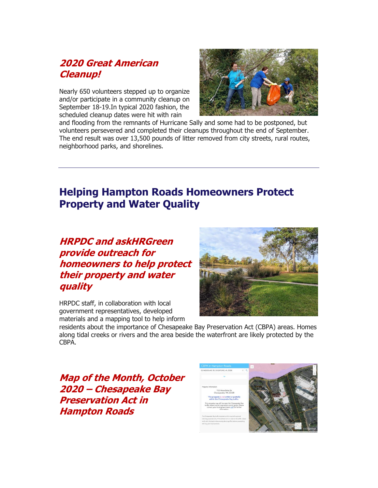#### **[2020 Great American](http://r20.rs6.net/tn.jsp?f=001Jg_N8iagzCj6BAuSJxVdS2dyFyCvSX8bKwEwWQvccOdrrpXdxgcosPBAvL7SwasqmmkfE4o7DI8e72z0amVuzt2ZHiGYU_CloBR3T7jHBRz5ZM_LUBJ2SEpKpGDkd5CYEDOxk-wcO1GdjrgUmLBtp5SiV3mNJ0UYDjUMIPckGcVn5df42gWLSdmN-0iGnSb-Vf3x0NfNMAOw4zCS5dhWZXVeMQUSMT40ndsKurjtPFGMS1ZBKXieuoCoEKU4sRzWZ-h-xmB6UqV0u4mxZD_wkT6_EspB3c0XvcTCFosNdMDquKhbAsFAMQ==&c=Vn2lP9K2aQyRoSZ0kAF689kgSkI5sRHWFZFrA4THdbKD9CLGuRz9ag==&ch=KepTBlA1NcHoYHSBrc6lw1jQ7-_LLgyfH0epCluYRUBEJmnOyPwxiw==)  [Cleanup!](http://r20.rs6.net/tn.jsp?f=001Jg_N8iagzCj6BAuSJxVdS2dyFyCvSX8bKwEwWQvccOdrrpXdxgcosPBAvL7SwasqmmkfE4o7DI8e72z0amVuzt2ZHiGYU_CloBR3T7jHBRz5ZM_LUBJ2SEpKpGDkd5CYEDOxk-wcO1GdjrgUmLBtp5SiV3mNJ0UYDjUMIPckGcVn5df42gWLSdmN-0iGnSb-Vf3x0NfNMAOw4zCS5dhWZXVeMQUSMT40ndsKurjtPFGMS1ZBKXieuoCoEKU4sRzWZ-h-xmB6UqV0u4mxZD_wkT6_EspB3c0XvcTCFosNdMDquKhbAsFAMQ==&c=Vn2lP9K2aQyRoSZ0kAF689kgSkI5sRHWFZFrA4THdbKD9CLGuRz9ag==&ch=KepTBlA1NcHoYHSBrc6lw1jQ7-_LLgyfH0epCluYRUBEJmnOyPwxiw==)**

Nearly 650 volunteers stepped up to organize and/or participate in a community cleanup on September 18-19.In typical 2020 fashion, the scheduled cleanup dates were hit with rain



and flooding from the remnants of Hurricane Sally and some had to be postponed, but volunteers persevered and completed their cleanups throughout the end of September. The end result was over 13,500 pounds of litter removed from city streets, rural routes, neighborhood parks, and shorelines.

## **Helping Hampton Roads Homeowners Protect Property and Water Quality**

#### **[HRPDC and askHRGreen](http://r20.rs6.net/tn.jsp?f=001Jg_N8iagzCj6BAuSJxVdS2dyFyCvSX8bKwEwWQvccOdrrpXdxgcosPBAvL7SwasqqQh_HVBaNEE7rn55XKPMJTLFho9khh109JGQWory-Dq4HZMGVvTufiJ6aToXLesj6vtv_M2Vg6nrLtiKQflGCB8JMELL8gQ6nHXkX8SOQE7zyaHZJuD0iKLCMPDPs7Z1ku5AZPF6UivJ5U4X9eSVpVKvZ1pQlcihtysW8x2M9wTmMhEwXVeVEwaRmWQT_g06xHDxFXim9DidXtEJwM-ubesf0Y-ZAs9me28rAKFcpQgVJkxHIemjMA==&c=Vn2lP9K2aQyRoSZ0kAF689kgSkI5sRHWFZFrA4THdbKD9CLGuRz9ag==&ch=KepTBlA1NcHoYHSBrc6lw1jQ7-_LLgyfH0epCluYRUBEJmnOyPwxiw==)  [provide outreach for](http://r20.rs6.net/tn.jsp?f=001Jg_N8iagzCj6BAuSJxVdS2dyFyCvSX8bKwEwWQvccOdrrpXdxgcosPBAvL7SwasqqQh_HVBaNEE7rn55XKPMJTLFho9khh109JGQWory-Dq4HZMGVvTufiJ6aToXLesj6vtv_M2Vg6nrLtiKQflGCB8JMELL8gQ6nHXkX8SOQE7zyaHZJuD0iKLCMPDPs7Z1ku5AZPF6UivJ5U4X9eSVpVKvZ1pQlcihtysW8x2M9wTmMhEwXVeVEwaRmWQT_g06xHDxFXim9DidXtEJwM-ubesf0Y-ZAs9me28rAKFcpQgVJkxHIemjMA==&c=Vn2lP9K2aQyRoSZ0kAF689kgSkI5sRHWFZFrA4THdbKD9CLGuRz9ag==&ch=KepTBlA1NcHoYHSBrc6lw1jQ7-_LLgyfH0epCluYRUBEJmnOyPwxiw==)  [homeowners to help protect](http://r20.rs6.net/tn.jsp?f=001Jg_N8iagzCj6BAuSJxVdS2dyFyCvSX8bKwEwWQvccOdrrpXdxgcosPBAvL7SwasqqQh_HVBaNEE7rn55XKPMJTLFho9khh109JGQWory-Dq4HZMGVvTufiJ6aToXLesj6vtv_M2Vg6nrLtiKQflGCB8JMELL8gQ6nHXkX8SOQE7zyaHZJuD0iKLCMPDPs7Z1ku5AZPF6UivJ5U4X9eSVpVKvZ1pQlcihtysW8x2M9wTmMhEwXVeVEwaRmWQT_g06xHDxFXim9DidXtEJwM-ubesf0Y-ZAs9me28rAKFcpQgVJkxHIemjMA==&c=Vn2lP9K2aQyRoSZ0kAF689kgSkI5sRHWFZFrA4THdbKD9CLGuRz9ag==&ch=KepTBlA1NcHoYHSBrc6lw1jQ7-_LLgyfH0epCluYRUBEJmnOyPwxiw==)  [their property and water](http://r20.rs6.net/tn.jsp?f=001Jg_N8iagzCj6BAuSJxVdS2dyFyCvSX8bKwEwWQvccOdrrpXdxgcosPBAvL7SwasqqQh_HVBaNEE7rn55XKPMJTLFho9khh109JGQWory-Dq4HZMGVvTufiJ6aToXLesj6vtv_M2Vg6nrLtiKQflGCB8JMELL8gQ6nHXkX8SOQE7zyaHZJuD0iKLCMPDPs7Z1ku5AZPF6UivJ5U4X9eSVpVKvZ1pQlcihtysW8x2M9wTmMhEwXVeVEwaRmWQT_g06xHDxFXim9DidXtEJwM-ubesf0Y-ZAs9me28rAKFcpQgVJkxHIemjMA==&c=Vn2lP9K2aQyRoSZ0kAF689kgSkI5sRHWFZFrA4THdbKD9CLGuRz9ag==&ch=KepTBlA1NcHoYHSBrc6lw1jQ7-_LLgyfH0epCluYRUBEJmnOyPwxiw==)  [quality](http://r20.rs6.net/tn.jsp?f=001Jg_N8iagzCj6BAuSJxVdS2dyFyCvSX8bKwEwWQvccOdrrpXdxgcosPBAvL7SwasqqQh_HVBaNEE7rn55XKPMJTLFho9khh109JGQWory-Dq4HZMGVvTufiJ6aToXLesj6vtv_M2Vg6nrLtiKQflGCB8JMELL8gQ6nHXkX8SOQE7zyaHZJuD0iKLCMPDPs7Z1ku5AZPF6UivJ5U4X9eSVpVKvZ1pQlcihtysW8x2M9wTmMhEwXVeVEwaRmWQT_g06xHDxFXim9DidXtEJwM-ubesf0Y-ZAs9me28rAKFcpQgVJkxHIemjMA==&c=Vn2lP9K2aQyRoSZ0kAF689kgSkI5sRHWFZFrA4THdbKD9CLGuRz9ag==&ch=KepTBlA1NcHoYHSBrc6lw1jQ7-_LLgyfH0epCluYRUBEJmnOyPwxiw==)**

HRPDC staff, in collaboration with local government representatives, developed materials and a mapping tool to help inform



residents about the importance of Chesapeake Bay Preservation Act (CBPA) areas. Homes along tidal creeks or rivers and the area beside the waterfront are likely protected by the CBPA.

**[Map of the Month, October](http://r20.rs6.net/tn.jsp?f=001Jg_N8iagzCj6BAuSJxVdS2dyFyCvSX8bKwEwWQvccOdrrpXdxgcosPBAvL7SwasqxPeaxXe8MRivJAFiOxeKCajsQODaKj0auZqqkS7aEWovgm_8PObf81cgu5vAabu8Sd9LGEckVwcFH6xPKXeBkwlWs4IRw7ifcblKYBts057yPrOrpjMB_y-YS2x8xJFM_tAQFqBjgZ7Qj9ou8psWMl4Lo16SAsQ9ZwfRTmUZ-pOHqBiBcq0WqtrmR6CKYzNlv4zrnrVKaAaTZaS1rsf7V6AAoe-KGyOf029oeO539o5gkBWKc4zWvg==&c=Vn2lP9K2aQyRoSZ0kAF689kgSkI5sRHWFZFrA4THdbKD9CLGuRz9ag==&ch=KepTBlA1NcHoYHSBrc6lw1jQ7-_LLgyfH0epCluYRUBEJmnOyPwxiw==)  2020 – [Chesapeake Bay](http://r20.rs6.net/tn.jsp?f=001Jg_N8iagzCj6BAuSJxVdS2dyFyCvSX8bKwEwWQvccOdrrpXdxgcosPBAvL7SwasqxPeaxXe8MRivJAFiOxeKCajsQODaKj0auZqqkS7aEWovgm_8PObf81cgu5vAabu8Sd9LGEckVwcFH6xPKXeBkwlWs4IRw7ifcblKYBts057yPrOrpjMB_y-YS2x8xJFM_tAQFqBjgZ7Qj9ou8psWMl4Lo16SAsQ9ZwfRTmUZ-pOHqBiBcq0WqtrmR6CKYzNlv4zrnrVKaAaTZaS1rsf7V6AAoe-KGyOf029oeO539o5gkBWKc4zWvg==&c=Vn2lP9K2aQyRoSZ0kAF689kgSkI5sRHWFZFrA4THdbKD9CLGuRz9ag==&ch=KepTBlA1NcHoYHSBrc6lw1jQ7-_LLgyfH0epCluYRUBEJmnOyPwxiw==)  [Preservation Act in](http://r20.rs6.net/tn.jsp?f=001Jg_N8iagzCj6BAuSJxVdS2dyFyCvSX8bKwEwWQvccOdrrpXdxgcosPBAvL7SwasqxPeaxXe8MRivJAFiOxeKCajsQODaKj0auZqqkS7aEWovgm_8PObf81cgu5vAabu8Sd9LGEckVwcFH6xPKXeBkwlWs4IRw7ifcblKYBts057yPrOrpjMB_y-YS2x8xJFM_tAQFqBjgZ7Qj9ou8psWMl4Lo16SAsQ9ZwfRTmUZ-pOHqBiBcq0WqtrmR6CKYzNlv4zrnrVKaAaTZaS1rsf7V6AAoe-KGyOf029oeO539o5gkBWKc4zWvg==&c=Vn2lP9K2aQyRoSZ0kAF689kgSkI5sRHWFZFrA4THdbKD9CLGuRz9ag==&ch=KepTBlA1NcHoYHSBrc6lw1jQ7-_LLgyfH0epCluYRUBEJmnOyPwxiw==)  [Hampton Roads](http://r20.rs6.net/tn.jsp?f=001Jg_N8iagzCj6BAuSJxVdS2dyFyCvSX8bKwEwWQvccOdrrpXdxgcosPBAvL7SwasqxPeaxXe8MRivJAFiOxeKCajsQODaKj0auZqqkS7aEWovgm_8PObf81cgu5vAabu8Sd9LGEckVwcFH6xPKXeBkwlWs4IRw7ifcblKYBts057yPrOrpjMB_y-YS2x8xJFM_tAQFqBjgZ7Qj9ou8psWMl4Lo16SAsQ9ZwfRTmUZ-pOHqBiBcq0WqtrmR6CKYzNlv4zrnrVKaAaTZaS1rsf7V6AAoe-KGyOf029oeO539o5gkBWKc4zWvg==&c=Vn2lP9K2aQyRoSZ0kAF689kgSkI5sRHWFZFrA4THdbKD9CLGuRz9ag==&ch=KepTBlA1NcHoYHSBrc6lw1jQ7-_LLgyfH0epCluYRUBEJmnOyPwxiw==)**

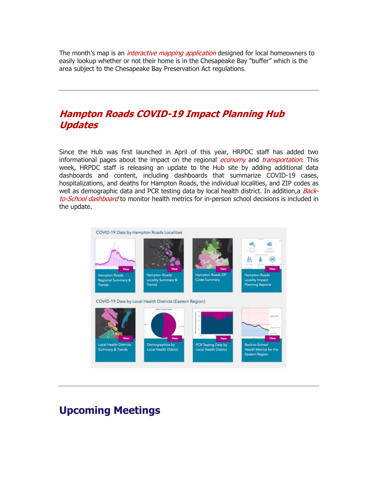The month's map is an *[interactive mapping application](http://r20.rs6.net/tn.jsp?f=001Jg_N8iagzCj6BAuSJxVdS2dyFyCvSX8bKwEwWQvccOdrrpXdxgcosPBAvL7Swasqdp7VEYWIpTLE-g0OFOV2c3rSK8V_CYrC3EQWI-Jw-71S--be7N7ioocyv-7GYpf0Jyl1hk8_kAs=&c=Vn2lP9K2aQyRoSZ0kAF689kgSkI5sRHWFZFrA4THdbKD9CLGuRz9ag==&ch=KepTBlA1NcHoYHSBrc6lw1jQ7-_LLgyfH0epCluYRUBEJmnOyPwxiw==)* designed for local homeowners to easily lookup whether or not their home is in the Chesapeake Bay "buffer" which is the area subject to the Chesapeake Bay Preservation Act regulations.

#### **[Hampton Roads COVID-19 Impact Planning Hub](http://r20.rs6.net/tn.jsp?f=001Jg_N8iagzCj6BAuSJxVdS2dyFyCvSX8bKwEwWQvccOdrrpXdxgcosPBAvL7SwasqUrpUY3vZivCHh7Vm4bCBuljh7gYGMDMouB6CWO9btzSCAFc3E5X-t8WOj-rReHEJoE6MLoEptFEX55sQlLPT1eU6mUy3vOTXGNOVaMAzhpLi7-gPyo7ObDDh6KEFpX2Ct3eYxxFghYNnWbwL_M24BCb7KT4WWwrdw4yjm08ysMJRrTDm5NlS6rxr9SSnbSUh_4iP61HcvBA=&c=Vn2lP9K2aQyRoSZ0kAF689kgSkI5sRHWFZFrA4THdbKD9CLGuRz9ag==&ch=KepTBlA1NcHoYHSBrc6lw1jQ7-_LLgyfH0epCluYRUBEJmnOyPwxiw==)  [Updates](http://r20.rs6.net/tn.jsp?f=001Jg_N8iagzCj6BAuSJxVdS2dyFyCvSX8bKwEwWQvccOdrrpXdxgcosPBAvL7SwasqUrpUY3vZivCHh7Vm4bCBuljh7gYGMDMouB6CWO9btzSCAFc3E5X-t8WOj-rReHEJoE6MLoEptFEX55sQlLPT1eU6mUy3vOTXGNOVaMAzhpLi7-gPyo7ObDDh6KEFpX2Ct3eYxxFghYNnWbwL_M24BCb7KT4WWwrdw4yjm08ysMJRrTDm5NlS6rxr9SSnbSUh_4iP61HcvBA=&c=Vn2lP9K2aQyRoSZ0kAF689kgSkI5sRHWFZFrA4THdbKD9CLGuRz9ag==&ch=KepTBlA1NcHoYHSBrc6lw1jQ7-_LLgyfH0epCluYRUBEJmnOyPwxiw==)**

Since the Hub was first launched in April of this year, HRPDC staff has added two informational pages about the impact on the regional *[economy](http://r20.rs6.net/tn.jsp?f=001Jg_N8iagzCj6BAuSJxVdS2dyFyCvSX8bKwEwWQvccOdrrpXdxgcosPBAvL7Swasq06p4JuQ4cz1BES1yHRyc1zVGUGBL4SxfXNbaYdqB1elvyT4VLX6g4ZWxBv--crZtAwIKqRl_5zH45abzKMmeHfGGZ-42fDrUSbblLvJsXGd9G8Rf_3Tp9LEmbR9jc0_Gp3oAFl6iZYE=&c=Vn2lP9K2aQyRoSZ0kAF689kgSkI5sRHWFZFrA4THdbKD9CLGuRz9ag==&ch=KepTBlA1NcHoYHSBrc6lw1jQ7-_LLgyfH0epCluYRUBEJmnOyPwxiw==)* and *[transportation](http://r20.rs6.net/tn.jsp?f=001Jg_N8iagzCj6BAuSJxVdS2dyFyCvSX8bKwEwWQvccOdrrpXdxgcosPBAvL7SwasqsHsaSM36G1ejAzxan_GrGlxB5GmlKX_7hj2S4_niRmh9gNk7XqPvHmJiM9BV3pFD-TnFJBmCaqTZGzWL_c0dyWkimm2UICxdyj0SCp4vRxW0soJQ0UY6rexc-JBET3DchH9zLExkdaw=&c=Vn2lP9K2aQyRoSZ0kAF689kgSkI5sRHWFZFrA4THdbKD9CLGuRz9ag==&ch=KepTBlA1NcHoYHSBrc6lw1jQ7-_LLgyfH0epCluYRUBEJmnOyPwxiw==)*. This week, HRPDC staff is releasing an update to the Hub site by adding additional data dashboards and content, including dashboards that summarize COVID-19 cases, hospitalizations, and deaths for Hampton Roads, the individual localities, and ZIP codes as well as demographic data and PCR testing data by local health district. In addition,a *[Back](http://r20.rs6.net/tn.jsp?f=001Jg_N8iagzCj6BAuSJxVdS2dyFyCvSX8bKwEwWQvccOdrrpXdxgcosPBAvL7SwasqUjxLB29-NpnD5WlRZsYrVy5UlpElvNPXkKzeXXQwu3Xrh1Kvqd0lVIIJJsIf7oj9dzhamXmwmgrTOgEbhIjJOrn46xPlKNNQ-UXNxiEYnEGD0KivhSuf6UTR_nBtIz8hRvlVevfnARs=&c=Vn2lP9K2aQyRoSZ0kAF689kgSkI5sRHWFZFrA4THdbKD9CLGuRz9ag==&ch=KepTBlA1NcHoYHSBrc6lw1jQ7-_LLgyfH0epCluYRUBEJmnOyPwxiw==)*[to-School dashboard](http://r20.rs6.net/tn.jsp?f=001Jg_N8iagzCj6BAuSJxVdS2dyFyCvSX8bKwEwWQvccOdrrpXdxgcosPBAvL7SwasqUjxLB29-NpnD5WlRZsYrVy5UlpElvNPXkKzeXXQwu3Xrh1Kvqd0lVIIJJsIf7oj9dzhamXmwmgrTOgEbhIjJOrn46xPlKNNQ-UXNxiEYnEGD0KivhSuf6UTR_nBtIz8hRvlVevfnARs=&c=Vn2lP9K2aQyRoSZ0kAF689kgSkI5sRHWFZFrA4THdbKD9CLGuRz9ag==&ch=KepTBlA1NcHoYHSBrc6lw1jQ7-_LLgyfH0epCluYRUBEJmnOyPwxiw==) to monitor health metrics for in-person school decisions is included in the update.



## **Upcoming Meetings**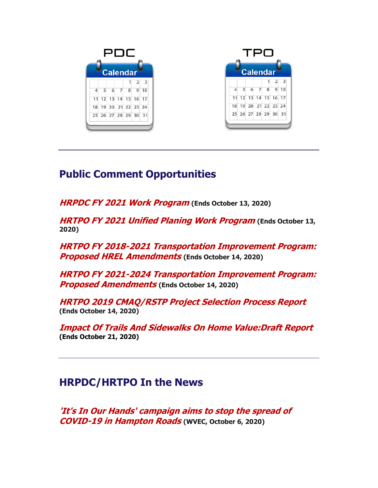



## **Public Comment Opportunities**

**[HRPDC FY 2021 Work Program](http://r20.rs6.net/tn.jsp?f=001Jg_N8iagzCj6BAuSJxVdS2dyFyCvSX8bKwEwWQvccOdrrpXdxgcosFUGGoEj9CRMo5cbALwrPJ5tfxM2h57Qy6pAnn3RCKkBwgHzn4nOWp5oJjewZstKQy12-DJWX9TWuxLTP37uFv1yXDfnoQ4Iep47q65yGyey7P2Cy2Y_daDPZ7LMUztuVssfCYxrhlQl&c=Vn2lP9K2aQyRoSZ0kAF689kgSkI5sRHWFZFrA4THdbKD9CLGuRz9ag==&ch=KepTBlA1NcHoYHSBrc6lw1jQ7-_LLgyfH0epCluYRUBEJmnOyPwxiw==) (Ends October 13, 2020)**

**[HRTPO FY 2021 Unified Planing Work Program](http://r20.rs6.net/tn.jsp?f=001Jg_N8iagzCj6BAuSJxVdS2dyFyCvSX8bKwEwWQvccOdrrpXdxgcosAL8PfCjrN3j_VgliKUUTlw87JAVqDJRv4QCZb3V3altBm7Vx9hPc-dAIPJMupeOumIKUvWejqG7Sxl2Sk4rszGThXOiFp6G3_8AGS279iyehgEvUNaNDGJgODgLpSogrTFPzf0JdRLS&c=Vn2lP9K2aQyRoSZ0kAF689kgSkI5sRHWFZFrA4THdbKD9CLGuRz9ag==&ch=KepTBlA1NcHoYHSBrc6lw1jQ7-_LLgyfH0epCluYRUBEJmnOyPwxiw==) (Ends October 13, 2020)**

**[HRTPO FY 2018-2021 Transportation Improvement Program:](http://r20.rs6.net/tn.jsp?f=001Jg_N8iagzCj6BAuSJxVdS2dyFyCvSX8bKwEwWQvccOdrrpXdxgcosPBAvL7SwasqoGyKh_amiBJ4aJanq6kF1nJdJBWV3nRdHdsZ1g3vwvjhLbblZZgLi2d-pmgJ0rRwUO9w6gnWN6gBn5qiJT8vtPvnLdgENu4Kc6RgZBCUa-MoPLq9MhWmsuOJAa64FME2E9R0Udcckok=&c=Vn2lP9K2aQyRoSZ0kAF689kgSkI5sRHWFZFrA4THdbKD9CLGuRz9ag==&ch=KepTBlA1NcHoYHSBrc6lw1jQ7-_LLgyfH0epCluYRUBEJmnOyPwxiw==)  [Proposed HREL Amendments](http://r20.rs6.net/tn.jsp?f=001Jg_N8iagzCj6BAuSJxVdS2dyFyCvSX8bKwEwWQvccOdrrpXdxgcosPBAvL7SwasqoGyKh_amiBJ4aJanq6kF1nJdJBWV3nRdHdsZ1g3vwvjhLbblZZgLi2d-pmgJ0rRwUO9w6gnWN6gBn5qiJT8vtPvnLdgENu4Kc6RgZBCUa-MoPLq9MhWmsuOJAa64FME2E9R0Udcckok=&c=Vn2lP9K2aQyRoSZ0kAF689kgSkI5sRHWFZFrA4THdbKD9CLGuRz9ag==&ch=KepTBlA1NcHoYHSBrc6lw1jQ7-_LLgyfH0epCluYRUBEJmnOyPwxiw==) (Ends October 14, 2020)**

**[HRTPO FY 2021-2024 Transportation Improvement Program:](http://r20.rs6.net/tn.jsp?f=001Jg_N8iagzCj6BAuSJxVdS2dyFyCvSX8bKwEwWQvccOdrrpXdxgcosPBAvL7SwasqJw7n1Pf0mU9FgF_mFAL3X5Xt9o_pv8FXKsLav8R_Ed3UMQsakS_aLBKvs4RTn3nZV1CXX25LWWjlW-H6kGUdous7oguqU2JxM2sTYQCCX5oQyHvUKsH89LfIaTOUxC8mYkuhi15567U=&c=Vn2lP9K2aQyRoSZ0kAF689kgSkI5sRHWFZFrA4THdbKD9CLGuRz9ag==&ch=KepTBlA1NcHoYHSBrc6lw1jQ7-_LLgyfH0epCluYRUBEJmnOyPwxiw==)  [Proposed Amendments](http://r20.rs6.net/tn.jsp?f=001Jg_N8iagzCj6BAuSJxVdS2dyFyCvSX8bKwEwWQvccOdrrpXdxgcosPBAvL7SwasqJw7n1Pf0mU9FgF_mFAL3X5Xt9o_pv8FXKsLav8R_Ed3UMQsakS_aLBKvs4RTn3nZV1CXX25LWWjlW-H6kGUdous7oguqU2JxM2sTYQCCX5oQyHvUKsH89LfIaTOUxC8mYkuhi15567U=&c=Vn2lP9K2aQyRoSZ0kAF689kgSkI5sRHWFZFrA4THdbKD9CLGuRz9ag==&ch=KepTBlA1NcHoYHSBrc6lw1jQ7-_LLgyfH0epCluYRUBEJmnOyPwxiw==) (Ends October 14, 2020)**

**[HRTPO 2019 CMAQ/RSTP Project Selection Process Report](http://r20.rs6.net/tn.jsp?f=001Jg_N8iagzCj6BAuSJxVdS2dyFyCvSX8bKwEwWQvccOdrrpXdxgcosPBAvL7SwasqTMvyjd28A-QhBqILqIg7fppbT9MQ3yfVObDi3GviCmTqnP0egNAgBkJVJLYs2wNBaomF_GEYp5s2nSXeZ2IBGVWWOmGIbeC1oAxfj4MhilXcOM4_hdDwnKo5gFI8dVpHROl2iBfbivQ=&c=Vn2lP9K2aQyRoSZ0kAF689kgSkI5sRHWFZFrA4THdbKD9CLGuRz9ag==&ch=KepTBlA1NcHoYHSBrc6lw1jQ7-_LLgyfH0epCluYRUBEJmnOyPwxiw==) (Ends October 14, 2020)**

**[Impact Of Trails And Sidewalks On Home Value:Draft Report](http://r20.rs6.net/tn.jsp?f=001Jg_N8iagzCj6BAuSJxVdS2dyFyCvSX8bKwEwWQvccOdrrpXdxgcosPBAvL7SwasqplPNBOJhyCwuAGGI1O4tUw5_xIC4TxwQpPvBXNr07FI93nnMn7uowYRiWVetjuM9RmtHUI1y84drKDAofKbhwbffYwTfSKjTz9-aGqZZjTY7Wzd5f7K5H0_Ug9hk9F9i3NDzLoY5RPU=&c=Vn2lP9K2aQyRoSZ0kAF689kgSkI5sRHWFZFrA4THdbKD9CLGuRz9ag==&ch=KepTBlA1NcHoYHSBrc6lw1jQ7-_LLgyfH0epCluYRUBEJmnOyPwxiw==)  (Ends October 21, 2020)**

### **HRPDC/HRTPO In the News**

**['It's In Our Hands' campaign aims to stop the spread of](http://r20.rs6.net/tn.jsp?f=001Jg_N8iagzCj6BAuSJxVdS2dyFyCvSX8bKwEwWQvccOdrrpXdxgcosPBAvL7SwasqVLoL9E95jnA1b4DWpX0eIi6-VLsQYNbpZqyUiZJXPO3lmDSqs5MEk9h9VkNgg_JASiSJMKFrjXGrf7BBhxR5fkWYg6Pni53mDyPLCXtqOte1OGdXJZGjGoSB7VDBLNJArXRGHgUVbXrCmTHsnHVEqTZmALl5Qg-QqQeaStnprw5qrzfEmThxE26tbvjrU0Tcz5Aiz0M_AgyGmjYU9g5DNw==&c=Vn2lP9K2aQyRoSZ0kAF689kgSkI5sRHWFZFrA4THdbKD9CLGuRz9ag==&ch=KepTBlA1NcHoYHSBrc6lw1jQ7-_LLgyfH0epCluYRUBEJmnOyPwxiw==)  [COVID-19 in Hampton Roads](http://r20.rs6.net/tn.jsp?f=001Jg_N8iagzCj6BAuSJxVdS2dyFyCvSX8bKwEwWQvccOdrrpXdxgcosPBAvL7SwasqVLoL9E95jnA1b4DWpX0eIi6-VLsQYNbpZqyUiZJXPO3lmDSqs5MEk9h9VkNgg_JASiSJMKFrjXGrf7BBhxR5fkWYg6Pni53mDyPLCXtqOte1OGdXJZGjGoSB7VDBLNJArXRGHgUVbXrCmTHsnHVEqTZmALl5Qg-QqQeaStnprw5qrzfEmThxE26tbvjrU0Tcz5Aiz0M_AgyGmjYU9g5DNw==&c=Vn2lP9K2aQyRoSZ0kAF689kgSkI5sRHWFZFrA4THdbKD9CLGuRz9ag==&ch=KepTBlA1NcHoYHSBrc6lw1jQ7-_LLgyfH0epCluYRUBEJmnOyPwxiw==) (WVEC, October 6, 2020)**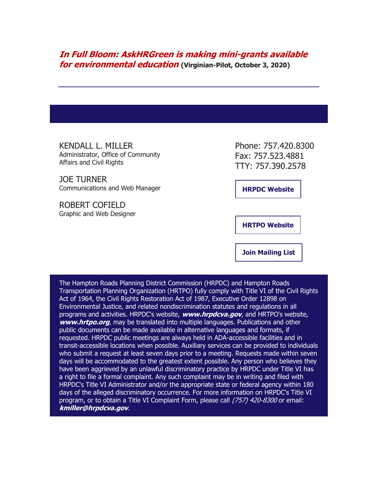#### **[In Full Bloom: AskHRGreen is making mini-grants available](http://r20.rs6.net/tn.jsp?f=001Jg_N8iagzCj6BAuSJxVdS2dyFyCvSX8bKwEwWQvccOdrrpXdxgcosPBAvL7SwasqkeBrwrVOf2GvHWpmCKhRDuUHVOFbrGpS98JzBlrmae8NZCyYn8lTytflZSqQFc4Oz91xfRCJxxjMyCKzQEkAvk376Qjg35ZYi7T8adgpgjW7TaWhAQ_lYXyYZiym-b-KFdsvAQeVqfPh_wPK0KDVrhubZZ0VkzA5UTg3EoJ8rVPHCfjVoLUYSr9KVr5BVzlqiM9h2BhU1fsD6gSn-10lRS_EvplVOXsJfe4JuKoGtqJFepqQZsi2DYT17v8EG0tl&c=Vn2lP9K2aQyRoSZ0kAF689kgSkI5sRHWFZFrA4THdbKD9CLGuRz9ag==&ch=KepTBlA1NcHoYHSBrc6lw1jQ7-_LLgyfH0epCluYRUBEJmnOyPwxiw==)  [for environmental education](http://r20.rs6.net/tn.jsp?f=001Jg_N8iagzCj6BAuSJxVdS2dyFyCvSX8bKwEwWQvccOdrrpXdxgcosPBAvL7SwasqkeBrwrVOf2GvHWpmCKhRDuUHVOFbrGpS98JzBlrmae8NZCyYn8lTytflZSqQFc4Oz91xfRCJxxjMyCKzQEkAvk376Qjg35ZYi7T8adgpgjW7TaWhAQ_lYXyYZiym-b-KFdsvAQeVqfPh_wPK0KDVrhubZZ0VkzA5UTg3EoJ8rVPHCfjVoLUYSr9KVr5BVzlqiM9h2BhU1fsD6gSn-10lRS_EvplVOXsJfe4JuKoGtqJFepqQZsi2DYT17v8EG0tl&c=Vn2lP9K2aQyRoSZ0kAF689kgSkI5sRHWFZFrA4THdbKD9CLGuRz9ag==&ch=KepTBlA1NcHoYHSBrc6lw1jQ7-_LLgyfH0epCluYRUBEJmnOyPwxiw==) (Virginian-Pilot, October 3, 2020)**

KENDALL L. MILLER Administrator, Office of Community Affairs and Civil Rights

JOE TURNER Communications and Web Manager

ROBERT COFIELD Graphic and Web Designer Phone: 757.420.8300 Fax: 757.523.4881 TTY: 757.390.2578

**[HRPDC Website](http://r20.rs6.net/tn.jsp?f=001Jg_N8iagzCj6BAuSJxVdS2dyFyCvSX8bKwEwWQvccOdrrpXdxgcosE5eHnQz0wuxY_vn6Ki_tE-bhLuUeXO6KZwcIx_T0OM66NqJ29vltF7h_-pj4MjhRr7t-p6R5ySCq9rwm1SVnuuHssTBoMe7XQ==&c=Vn2lP9K2aQyRoSZ0kAF689kgSkI5sRHWFZFrA4THdbKD9CLGuRz9ag==&ch=KepTBlA1NcHoYHSBrc6lw1jQ7-_LLgyfH0epCluYRUBEJmnOyPwxiw==)**

**[HRTPO Website](http://r20.rs6.net/tn.jsp?f=001Jg_N8iagzCj6BAuSJxVdS2dyFyCvSX8bKwEwWQvccOdrrpXdxgcosE5eHnQz0wux22p46TkXI1jUJz_2bNVIwseSVKq5-K-IQBgaSO1AIxxR82TkQzKWMVFqZiu_OdbBZPh3lVFwuO0=&c=Vn2lP9K2aQyRoSZ0kAF689kgSkI5sRHWFZFrA4THdbKD9CLGuRz9ag==&ch=KepTBlA1NcHoYHSBrc6lw1jQ7-_LLgyfH0epCluYRUBEJmnOyPwxiw==)**

**[Join Mailing List](http://r20.rs6.net/tn.jsp?f=001Jg_N8iagzCj6BAuSJxVdS2dyFyCvSX8bKwEwWQvccOdrrpXdxgcosE5eHnQz0wux9ljpHhNVQd152mcwLJ_T7dKKYnkuRu60_TQiNoCsU9zoQ-PRn_kmNehoMzQ2MXqysrWJSyDusIEN9Fuaevh2tfaBgrt2QNwdh-3Lx2BFJhBlpd7pmQ8s6LQZRJcMTbnoRvfx_hBeUHwigbW6DqSYCOere33ZJLwHg6VsJhX0UydnkQeygYm5e6-4ZP-MFgwawsngw9VbFeyX49FIdLSliEsAetsfuubpcD5tTA7yqZA0_xkkPtIdAn96Dt8EWGb4&c=Vn2lP9K2aQyRoSZ0kAF689kgSkI5sRHWFZFrA4THdbKD9CLGuRz9ag==&ch=KepTBlA1NcHoYHSBrc6lw1jQ7-_LLgyfH0epCluYRUBEJmnOyPwxiw==)**

The Hampton Roads Planning District Commission (HRPDC) and Hampton Roads Transportation Planning Organization (HRTPO) fully comply with Title VI of the Civil Rights Act of 1964, the Civil Rights Restoration Act of 1987, Executive Order 12898 on Environmental Justice, and related nondiscrimination statutes and regulations in all programs and activities. HRPDC's website, **[www.hrpdcva.gov](http://r20.rs6.net/tn.jsp?f=001Jg_N8iagzCj6BAuSJxVdS2dyFyCvSX8bKwEwWQvccOdrrpXdxgcosAYyWcN0omdReWC5a5zNJNUMtrd4Pbf77im-ggo5fUsKTUv56YsU0CjMx8e8FDip8aEqHyE-UFTdP865xj1I7annZ2XEW275kg==&c=Vn2lP9K2aQyRoSZ0kAF689kgSkI5sRHWFZFrA4THdbKD9CLGuRz9ag==&ch=KepTBlA1NcHoYHSBrc6lw1jQ7-_LLgyfH0epCluYRUBEJmnOyPwxiw==)**, and HRTPO's website, **[www.hrtpo.org](http://r20.rs6.net/tn.jsp?f=001Jg_N8iagzCj6BAuSJxVdS2dyFyCvSX8bKwEwWQvccOdrrpXdxgcosAYyWcN0omdRlWHMX09ES9rvZgisiU3qHGP5-p5gfnjcWKpjT84mz3BKUEWdVRHVCWiSRowFuXALCV6XT1I2URY=&c=Vn2lP9K2aQyRoSZ0kAF689kgSkI5sRHWFZFrA4THdbKD9CLGuRz9ag==&ch=KepTBlA1NcHoYHSBrc6lw1jQ7-_LLgyfH0epCluYRUBEJmnOyPwxiw==)**, may be translated into multiple languages. Publications and other public documents can be made available in alternative languages and formats, if requested. HRPDC public meetings are always held in ADA-accessible facilities and in transit-accessible locations when possible. Auxiliary services can be provided to individuals who submit a request at least seven days prior to a meeting. Requests made within seven days will be accommodated to the greatest extent possible. Any person who believes they have been aggrieved by an unlawful discriminatory practice by HRPDC under Title VI has a right to file a formal complaint. Any such complaint may be in writing and filed with HRPDC's Title VI Administrator and/or the appropriate state or federal agency within 180 days of the alleged discriminatory occurrence. For more information on HRPDC's Title VI program, or to obtain a Title VI Complaint Form, please call [\(757\) 420-8300](http://r20.rs6.net/tn.jsp?f=001Jg_N8iagzCj6BAuSJxVdS2dyFyCvSX8bKwEwWQvccOdrrpXdxgcosPBAvL7SwasqKFae4BojI2BP01KxmhLGGGdI9kG4TbLW-Z_tNonnDRnNw3KCLZpEYh4Bj-WET36G806VMGc4EqmNGfCZfPGJQbfrTYD5Ug97x5XC3jR0IHOYfpnOEEcq-ncKshrslw1_6nRMnIvm7rM=&c=Vn2lP9K2aQyRoSZ0kAF689kgSkI5sRHWFZFrA4THdbKD9CLGuRz9ag==&ch=KepTBlA1NcHoYHSBrc6lw1jQ7-_LLgyfH0epCluYRUBEJmnOyPwxiw==) or email: **[kmiller@hrpdcva.gov](mailto:kmiller@hrpdcva.gov)**.